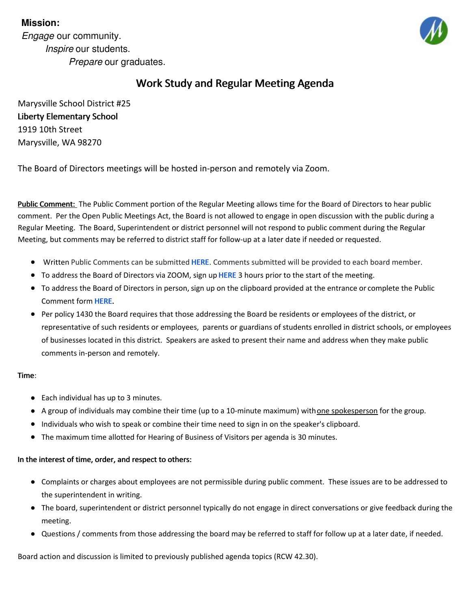# **Mission:**

*Engage* our community. *Inspire* our students. *Prepare* our graduates.



# Work Study and Regular Meeting Agenda

Marysville School District #25 Liberty Elementary School 1919 10th Street Marysville, WA 98270

The Board of Directors meetings will be hosted in-person and remotely via Zoom.

Public Comment: The Public Comment portion of the Regular Meeting allows time for the Board of Directors to hear public comment. Per the Open Public Meetings Act, the Board is not allowed to engage in open discussion with the public during a Regular Meeting. The Board, Superintendent or district personnel will not respond to public comment during the Regular Meeting, but comments may be referred to district staff for follow-up at a later date if needed or requested.

- **Written Public Comments can be submitted [HERE](https://forms.gle/Gi4ggpYoBeYupod87). Comments submitted will be provided to each board member.**
- To address the Board of Directors via ZOOM, sign up [HERE](https://forms.gle/Gi4ggpYoBeYupod87) 3 hours prior to the start of the meeting.
- $\bullet$  To address the Board of Directors in person, sign up on the clipboard provided at the entrance or complete the Public Comment form [HERE](https://forms.gle/Gi4ggpYoBeYupod87).
- Per policy 1430 the Board requires that those addressing the Board be residents or employees of the district, or representative of such residents or employees, parents or guardians of students enrolled in district schools, or employees of businesses located in this district. Speakers are asked to present their name and address when they make public comments in-person and remotely.

# Time:

- Each individual has up to 3 minutes.
- A group of individuals may combine their time (up to a 10-minute maximum) with one spokesperson for the group.
- Individuals who wish to speak or combine their time need to sign in on the speaker's clipboard.
- The maximum time allotted for Hearing of Business of Visitors per agenda is 30 minutes.

# In the interest of time, order, and respect to others:

- Complaints or charges about employees are not permissible during public comment. These issues are to be addressed to the superintendent in writing.
- The board, superintendent or district personnel typically do not engage in direct conversations or give feedback during the meeting.
- Questions / comments from those addressing the board may be referred to staff for follow up at a later date, if needed.

Board action and discussion is limited to previously published agenda topics (RCW 42.30).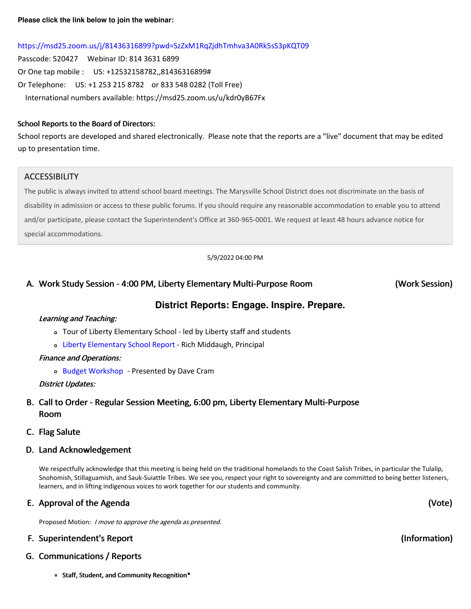# <https://msd25.zoom.us/j/81436316899?pwd=SzZxM1RqZjdhTmhva3A0Rk5sS3pKQT09>

Passcode: 520427 Webinar ID: 814 3631 6899 Or One tap mobile : US: +12532158782,,81436316899# Or Telephone: US: +1 253 215 8782 or 833 548 0282 (Toll Free) International numbers available: https://msd25.zoom.us/u/kdr0yB67Fx

### School Reports to the Board of Directors:

School reports are developed and shared electronically. Please note that the reports are a "live" document that may be edited up to presentation time.

## ACCESSIBILITY

The public is always invited to attend school board meetings. The Marysville School District does not discriminate on the basis of disability in admission or access to these public forums. If you should require any reasonable accommodation to enable you to attend and/or participate, please contact the Superintendent's Office at 360-965-0001. We request at least 48 hours advance notice for special accommodations.

5/9/2022 04:00 PM

# A. Work Study Session - 4:00 PM, Liberty Elementary Multi-Purpose Room

(Work Session)

# **District Reports: Engage. Inspire. Prepare.**

### Learning and Teaching:

- Tour of Liberty Elementary School led by Liberty staff and students
- Liberty [Elementary](https://docs.google.com/presentation/d/1XvI9znAKexXA3j_Y-V9gdzHDg-72AiRy7fee536gPcs/edit?usp=sharing) School Report Rich Middaugh, Principal

### Finance and Operations:

o Budget [Workshop](https://drive.google.com/file/d/1zjjKTzueZv5GFNiWtji-kIN3T_9L95fz/view) - Presented by Dave Cram

# District Updates:

# B. Call to Order - Regular Session Meeting, 6:00 pm, Liberty Elementary Multi-Purpose Room

# C. Flag Salute

# D. Land Acknowledgement

We respectfully acknowledge that this meeting is being held on the traditional homelands to the Coast Salish Tribes, in particular the Tulalip, Snohomish, Stillaguamish, and Sauk-Suiattle Tribes. We see you, respect your right to sovereignty and are committed to being better listeners, learners, and in lifting indigenous voices to work together for our students and community.

# E. Approval of the Agenda

Proposed Motion: <sup>I</sup> move to approve the agenda as presented.

# F. Superintendent's Report

# G. Communications / Reports

o Staff, Student, and Community Recognition\*

(Vote)

(Information)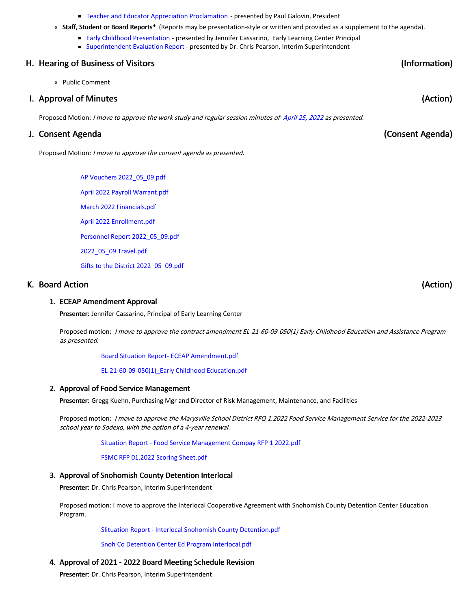#### **Teacher and Educator Appreciation [Proclamation](https://app.eduportal.com/documents/view/831257) - presented by Paul Galovin, President**

• Staff, Student or Board Reports\* (Reports may be presentation-style or written and provided as a supplement to the agenda).

(Information)

(Consent Agenda)

(Action)

(Action)

- **Early Childhood [Presentation](https://docs.google.com/presentation/d/1D8sDJmRm4SctAEVzkd0mFTZ_d2RAqKhOq5z_7LUw94A/edit?usp=sharing) presented by Jennifer Cassarino, Early Learning Center Principal** 
	- **[Superintendent](https://drive.google.com/file/d/1qOAShTINCwUMtc4PpcTjcc6V88SdxzQq/view?usp=sharing) Evaluation Report presented by Dr. Chris Pearson, Interim Superintendent**

### H. Hearing of Business of Visitors

Public Comment

### I. Approval of Minutes

Proposed Motion: I move to approve the work study and regular session minutes of [April](https://app.eduportal.com/minute/preview_minute_pdf/25679) 25, 2022 as presented.

### J. Consent Agenda

Proposed Motion: <sup>I</sup> move to approve the consent agenda as presented.

AP Vouchers [2022\\_05\\_09.pdf](https://app.eduportal.com/documents/view/831525) April 2022 Payroll [Warrant.pdf](https://app.eduportal.com/documents/view/831243) March 2022 [Financials.pdf](https://app.eduportal.com/documents/view/831527) April 2022 [Enrollment.pdf](https://app.eduportal.com/documents/view/831244) Personnel Report [2022\\_05\\_09.pdf](https://app.eduportal.com/documents/view/831905) [2022\\_05\\_09](https://app.eduportal.com/documents/view/831268) Travel.pdf Gifts to the District [2022\\_05\\_09.pdf](https://app.eduportal.com/documents/view/831526)

### K. Board Action

#### 1. ECEAP Amendment Approval

Presenter: Jennifer Cassarino, Principal of Early Learning Center

Proposed motion: I move to approve the contract amendment EL-21-60-09-050(1) Early Childhood Education and Assistance Program as presented.

Board Situation Report- ECEAP [Amendment.pdf](https://app.eduportal.com/documents/view/831663)

[EL-21-60-09-050\(1\)\\_Early](https://app.eduportal.com/documents/view/831664) Childhood Education.pdf

#### 2. Approval of Food Service Management

Presenter: Gregg Kuehn, Purchasing Mgr and Director of Risk Management, Maintenance, and Facilities

Proposed motion: <sup>I</sup> move to approve the Marysville School District RFQ 1.2022 Food Service Management Service for the 2022-2023 school year to Sodexo, with the option of <sup>a</sup> 4-year renewal.

Situation Report - Food Service [Management](https://app.eduportal.com/documents/view/831388) Compay RFP 1 2022.pdf

FSMC RFP 01.2022 Scoring [Sheet.pdf](https://app.eduportal.com/documents/view/831387)

#### 3. Approval of Snohomish County Detention Interlocal

Presenter: Dr. Chris Pearson, Interim Superintendent

Proposed motion: I move to approve the Interlocal Cooperative Agreement with Snohomish County Detention Center Education Program.

SIituation Report - Interlocal Snohomish County [Detention.pdf](https://app.eduportal.com/documents/view/832205)

Snoh Co Detention Center Ed Program [Interlocal.pdf](https://app.eduportal.com/documents/view/831245)

### 4. Approval of 2021 - 2022 Board Meeting Schedule Revision

Presenter: Dr. Chris Pearson, Interim Superintendent